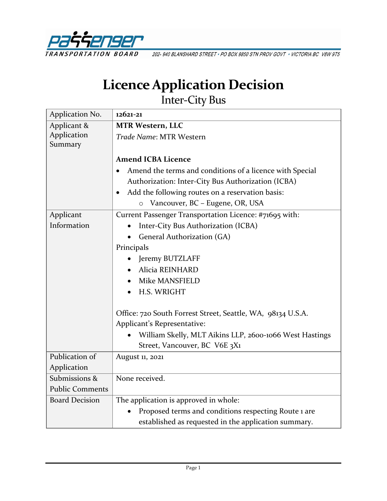

202-940 BLANSHARD STREET . PO BOX 9850 STN PROV GOVT . VICTORIA BC V8W 9T5

# **Licence Application Decision**

Inter-City Bus

| Application No.        | 12621-21                                                                                                                                                                                                                                   |
|------------------------|--------------------------------------------------------------------------------------------------------------------------------------------------------------------------------------------------------------------------------------------|
| Applicant &            | <b>MTR Western, LLC</b>                                                                                                                                                                                                                    |
| Application<br>Summary | Trade Name: MTR Western                                                                                                                                                                                                                    |
|                        | <b>Amend ICBA Licence</b>                                                                                                                                                                                                                  |
|                        | Amend the terms and conditions of a licence with Special<br>$\bullet$<br>Authorization: Inter-City Bus Authorization (ICBA)<br>Add the following routes on a reservation basis:<br>$\bullet$<br>Vancouver, BC - Eugene, OR, USA<br>$\circ$ |
| Applicant              | Current Passenger Transportation Licence: #71695 with:                                                                                                                                                                                     |
| Information            | Inter-City Bus Authorization (ICBA)                                                                                                                                                                                                        |
|                        | General Authorization (GA)                                                                                                                                                                                                                 |
|                        | Principals                                                                                                                                                                                                                                 |
|                        | Jeremy BUTZLAFF                                                                                                                                                                                                                            |
|                        | Alicia REINHARD                                                                                                                                                                                                                            |
|                        | <b>Mike MANSFIELD</b>                                                                                                                                                                                                                      |
|                        | H.S. WRIGHT                                                                                                                                                                                                                                |
|                        | Office: 720 South Forrest Street, Seattle, WA, 98134 U.S.A.<br>Applicant's Representative:                                                                                                                                                 |
|                        | William Skelly, MLT Aikins LLP, 2600-1066 West Hastings                                                                                                                                                                                    |
|                        | Street, Vancouver, BC V6E 3X1                                                                                                                                                                                                              |
| Publication of         | August 11, 2021                                                                                                                                                                                                                            |
| Application            |                                                                                                                                                                                                                                            |
| Submissions &          | None received.                                                                                                                                                                                                                             |
| <b>Public Comments</b> |                                                                                                                                                                                                                                            |
| <b>Board Decision</b>  | The application is approved in whole:                                                                                                                                                                                                      |
|                        | Proposed terms and conditions respecting Route 1 are                                                                                                                                                                                       |
|                        | established as requested in the application summary.                                                                                                                                                                                       |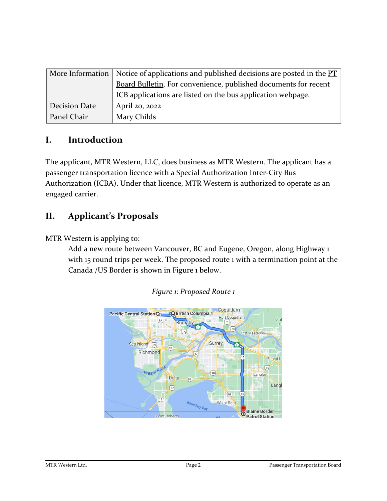|               | More Information   Notice of applications and published decisions are posted in the $PT$ |
|---------------|------------------------------------------------------------------------------------------|
|               | Board Bulletin. For convenience, published documents for recent                          |
|               | ICB applications are listed on the bus application webpage.                              |
| Decision Date | April 20, 2022                                                                           |
| Panel Chair   | Mary Childs                                                                              |

## **I. Introduction**

The applicant, MTR Western, LLC, does business as MTR Western. The applicant has a passenger transportation licence with a Special Authorization Inter-City Bus Authorization (ICBA). Under that licence, MTR Western is authorized to operate as an engaged carrier.

## **II. Applicant's Proposals**

MTR Western is applying to:

Add a new route between Vancouver, BC and Eugene, Oregon, along Highway 1 with 15 round trips per week. The proposed route 1 with a termination point at the Canada /US Border is shown in Figure 1 below.



#### *Figure 1: Proposed Route 1*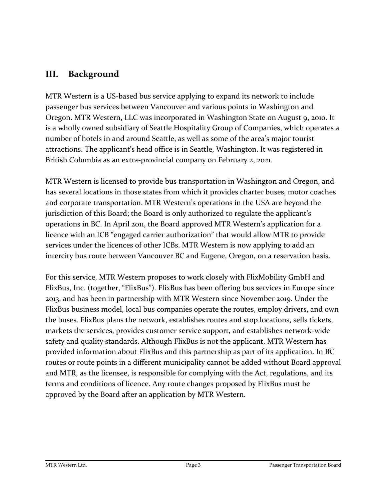## **III. Background**

MTR Western is a US-based bus service applying to expand its network to include passenger bus services between Vancouver and various points in Washington and Oregon. MTR Western, LLC was incorporated in Washington State on August 9, 2010. It is a wholly owned subsidiary of Seattle Hospitality Group of Companies, which operates a number of hotels in and around Seattle, as well as some of the area's major tourist attractions. The applicant's head office is in Seattle, Washington. It was registered in British Columbia as an extra-provincial company on February 2, 2021.

MTR Western is licensed to provide bus transportation in Washington and Oregon, and has several locations in those states from which it provides charter buses, motor coaches and corporate transportation. MTR Western's operations in the USA are beyond the jurisdiction of this Board; the Board is only authorized to regulate the applicant's operations in BC. In April 2011, the Board approved MTR Western's application for a licence with an ICB "engaged carrier authorization" that would allow MTR to provide services under the licences of other ICBs. MTR Western is now applying to add an intercity bus route between Vancouver BC and Eugene, Oregon, on a reservation basis.

For this service, MTR Western proposes to work closely with FlixMobility GmbH and FlixBus, Inc. (together, "FlixBus"). FlixBus has been offering bus services in Europe since 2013, and has been in partnership with MTR Western since November 2019. Under the FlixBus business model, local bus companies operate the routes, employ drivers, and own the buses. FlixBus plans the network, establishes routes and stop locations, sells tickets, markets the services, provides customer service support, and establishes network-wide safety and quality standards. Although FlixBus is not the applicant, MTR Western has provided information about FlixBus and this partnership as part of its application. In BC routes or route points in a different municipality cannot be added without Board approval and MTR, as the licensee, is responsible for complying with the Act, regulations, and its terms and conditions of licence. Any route changes proposed by FlixBus must be approved by the Board after an application by MTR Western.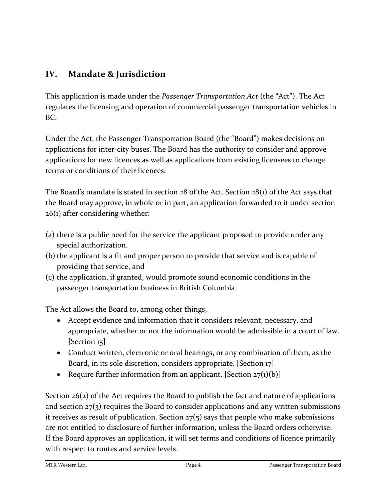# **IV. Mandate & Jurisdiction**

This application is made under the *Passenger Transportation Act* (the "Act"). The Act regulates the licensing and operation of commercial passenger transportation vehicles in BC.

Under the Act, the Passenger Transportation Board (the "Board") makes decisions on applications for inter-city buses. The Board has the authority to consider and approve applications for new licences as well as applications from existing licensees to change terms or conditions of their licences.

The Board's mandate is stated in section 28 of the Act. Section 28(1) of the Act says that the Board may approve, in whole or in part, an application forwarded to it under section 26(1) after considering whether:

- (a) there is a public need for the service the applicant proposed to provide under any special authorization.
- (b) the applicant is a fit and proper person to provide that service and is capable of providing that service, and
- (c) the application, if granted, would promote sound economic conditions in the passenger transportation business in British Columbia.

The Act allows the Board to, among other things,

- Accept evidence and information that it considers relevant, necessary, and appropriate, whether or not the information would be admissible in a court of law. [Section 15]
- Conduct written, electronic or oral hearings, or any combination of them, as the Board, in its sole discretion, considers appropriate. [Section 17]
- Require further information from an applicant. [Section  $27(1)(b)$ ]

Section 26(2) of the Act requires the Board to publish the fact and nature of applications and section  $27(3)$  requires the Board to consider applications and any written submissions it receives as result of publication. Section  $27(5)$  says that people who make submissions are not entitled to disclosure of further information, unless the Board orders otherwise. If the Board approves an application, it will set terms and conditions of licence primarily with respect to routes and service levels.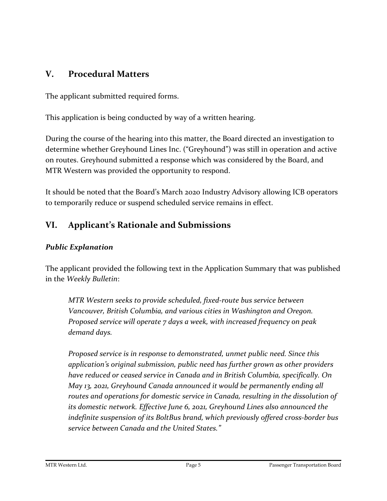## **V. Procedural Matters**

The applicant submitted required forms.

This application is being conducted by way of a written hearing.

During the course of the hearing into this matter, the Board directed an investigation to determine whether Greyhound Lines Inc. ("Greyhound") was still in operation and active on routes. Greyhound submitted a response which was considered by the Board, and MTR Western was provided the opportunity to respond.

It should be noted that the Board's March 2020 Industry Advisory allowing ICB operators to temporarily reduce or suspend scheduled service remains in effect.

# **VI. Applicant's Rationale and Submissions**

## *Public Explanation*

The applicant provided the following text in the Application Summary that was published in the *Weekly Bulletin*:

*MTR Western seeks to provide scheduled, fixed-route bus service between Vancouver, British Columbia, and various cities in Washington and Oregon. Proposed service will operate 7 days a week, with increased frequency on peak demand days.*

*Proposed service is in response to demonstrated, unmet public need. Since this application's original submission, public need has further grown as other providers have reduced or ceased service in Canada and in British Columbia, specifically. On May 13, 2021, Greyhound Canada announced it would be permanently ending all routes and operations for domestic service in Canada, resulting in the dissolution of its domestic network. Effective June 6, 2021, Greyhound Lines also announced the indefinite suspension of its BoltBus brand, which previously offered cross-border bus service between Canada and the United States."*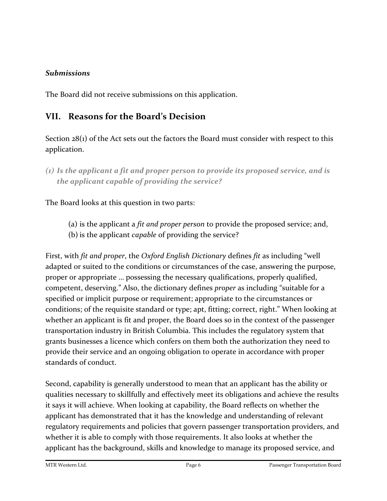#### *Submissions*

The Board did not receive submissions on this application.

## **VII. Reasons for the Board's Decision**

Section 28(1) of the Act sets out the factors the Board must consider with respect to this application.

The Board looks at this question in two parts:

- (a) is the applicant a *fit and proper person* to provide the proposed service; and,
- (b) is the applicant *capable* of providing the service?

First, with *fit and proper*, the *Oxford English Dictionary* defines *fit* as including "well adapted or suited to the conditions or circumstances of the case, answering the purpose, proper or appropriate … possessing the necessary qualifications, properly qualified, competent, deserving." Also, the dictionary defines *proper* as including "suitable for a specified or implicit purpose or requirement; appropriate to the circumstances or conditions; of the requisite standard or type; apt, fitting; correct, right." When looking at whether an applicant is fit and proper, the Board does so in the context of the passenger transportation industry in British Columbia. This includes the regulatory system that grants businesses a licence which confers on them both the authorization they need to provide their service and an ongoing obligation to operate in accordance with proper standards of conduct.

Second, capability is generally understood to mean that an applicant has the ability or qualities necessary to skillfully and effectively meet its obligations and achieve the results it says it will achieve. When looking at capability, the Board reflects on whether the applicant has demonstrated that it has the knowledge and understanding of relevant regulatory requirements and policies that govern passenger transportation providers, and whether it is able to comply with those requirements. It also looks at whether the applicant has the background, skills and knowledge to manage its proposed service, and

*<sup>(1)</sup> Is the applicant a fit and proper person to provide its proposed service, and is the applicant capable of providing the service?*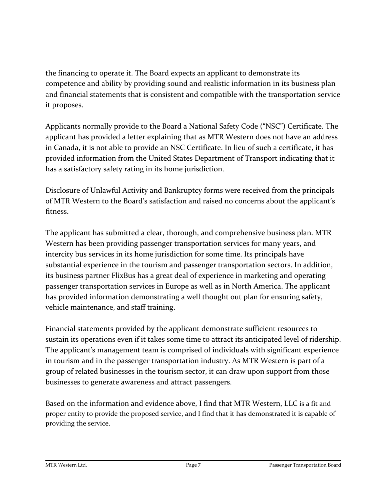the financing to operate it. The Board expects an applicant to demonstrate its competence and ability by providing sound and realistic information in its business plan and financial statements that is consistent and compatible with the transportation service it proposes.

Applicants normally provide to the Board a National Safety Code ("NSC") Certificate. The applicant has provided a letter explaining that as MTR Western does not have an address in Canada, it is not able to provide an NSC Certificate. In lieu of such a certificate, it has provided information from the United States Department of Transport indicating that it has a satisfactory safety rating in its home jurisdiction.

Disclosure of Unlawful Activity and Bankruptcy forms were received from the principals of MTR Western to the Board's satisfaction and raised no concerns about the applicant's fitness.

The applicant has submitted a clear, thorough, and comprehensive business plan. MTR Western has been providing passenger transportation services for many years, and intercity bus services in its home jurisdiction for some time. Its principals have substantial experience in the tourism and passenger transportation sectors. In addition, its business partner FlixBus has a great deal of experience in marketing and operating passenger transportation services in Europe as well as in North America. The applicant has provided information demonstrating a well thought out plan for ensuring safety, vehicle maintenance, and staff training.

Financial statements provided by the applicant demonstrate sufficient resources to sustain its operations even if it takes some time to attract its anticipated level of ridership. The applicant's management team is comprised of individuals with significant experience in tourism and in the passenger transportation industry. As MTR Western is part of a group of related businesses in the tourism sector, it can draw upon support from those businesses to generate awareness and attract passengers.

Based on the information and evidence above, I find that MTR Western, LLC is a fit and proper entity to provide the proposed service, and I find that it has demonstrated it is capable of providing the service.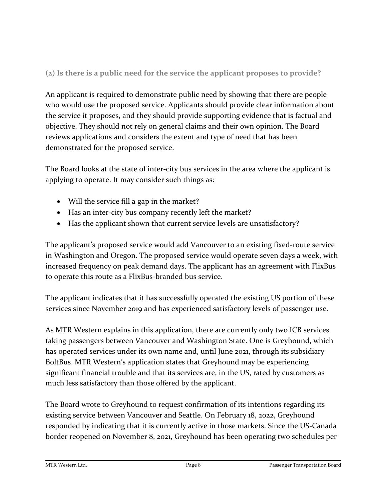## **(2) Is there is a public need for the service the applicant proposes to provide?**

An applicant is required to demonstrate public need by showing that there are people who would use the proposed service. Applicants should provide clear information about the service it proposes, and they should provide supporting evidence that is factual and objective. They should not rely on general claims and their own opinion. The Board reviews applications and considers the extent and type of need that has been demonstrated for the proposed service.

The Board looks at the state of inter-city bus services in the area where the applicant is applying to operate. It may consider such things as:

- Will the service fill a gap in the market?
- Has an inter-city bus company recently left the market?
- Has the applicant shown that current service levels are unsatisfactory?

The applicant's proposed service would add Vancouver to an existing fixed-route service in Washington and Oregon. The proposed service would operate seven days a week, with increased frequency on peak demand days. The applicant has an agreement with FlixBus to operate this route as a FlixBus-branded bus service.

The applicant indicates that it has successfully operated the existing US portion of these services since November 2019 and has experienced satisfactory levels of passenger use.

As MTR Western explains in this application, there are currently only two ICB services taking passengers between Vancouver and Washington State. One is Greyhound, which has operated services under its own name and, until June 2021, through its subsidiary BoltBus. MTR Western's application states that Greyhound may be experiencing significant financial trouble and that its services are, in the US, rated by customers as much less satisfactory than those offered by the applicant.

The Board wrote to Greyhound to request confirmation of its intentions regarding its existing service between Vancouver and Seattle. On February 18, 2022, Greyhound responded by indicating that it is currently active in those markets. Since the US-Canada border reopened on November 8, 2021, Greyhound has been operating two schedules per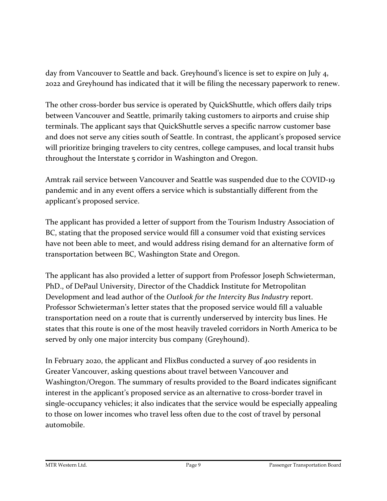day from Vancouver to Seattle and back. Greyhound's licence is set to expire on July 4, 2022 and Greyhound has indicated that it will be filing the necessary paperwork to renew.

The other cross-border bus service is operated by QuickShuttle, which offers daily trips between Vancouver and Seattle, primarily taking customers to airports and cruise ship terminals. The applicant says that QuickShuttle serves a specific narrow customer base and does not serve any cities south of Seattle. In contrast, the applicant's proposed service will prioritize bringing travelers to city centres, college campuses, and local transit hubs throughout the Interstate 5 corridor in Washington and Oregon.

Amtrak rail service between Vancouver and Seattle was suspended due to the COVID-19 pandemic and in any event offers a service which is substantially different from the applicant's proposed service.

The applicant has provided a letter of support from the Tourism Industry Association of BC, stating that the proposed service would fill a consumer void that existing services have not been able to meet, and would address rising demand for an alternative form of transportation between BC, Washington State and Oregon.

The applicant has also provided a letter of support from Professor Joseph Schwieterman, PhD., of DePaul University, Director of the Chaddick Institute for Metropolitan Development and lead author of the *Outlook for the Intercity Bus Industry* report. Professor Schwieterman's letter states that the proposed service would fill a valuable transportation need on a route that is currently underserved by intercity bus lines. He states that this route is one of the most heavily traveled corridors in North America to be served by only one major intercity bus company (Greyhound).

In February 2020, the applicant and FlixBus conducted a survey of 400 residents in Greater Vancouver, asking questions about travel between Vancouver and Washington/Oregon. The summary of results provided to the Board indicates significant interest in the applicant's proposed service as an alternative to cross-border travel in single-occupancy vehicles; it also indicates that the service would be especially appealing to those on lower incomes who travel less often due to the cost of travel by personal automobile.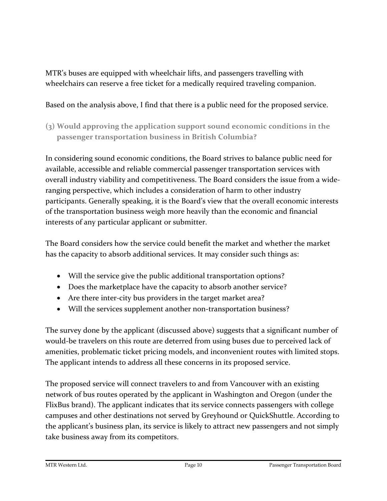MTR's buses are equipped with wheelchair lifts, and passengers travelling with wheelchairs can reserve a free ticket for a medically required traveling companion.

#### Based on the analysis above, I find that there is a public need for the proposed service.

**(3) Would approving the application support sound economic conditions in the passenger transportation business in British Columbia?**

In considering sound economic conditions, the Board strives to balance public need for available, accessible and reliable commercial passenger transportation services with overall industry viability and competitiveness. The Board considers the issue from a wideranging perspective, which includes a consideration of harm to other industry participants. Generally speaking, it is the Board's view that the overall economic interests of the transportation business weigh more heavily than the economic and financial interests of any particular applicant or submitter.

The Board considers how the service could benefit the market and whether the market has the capacity to absorb additional services. It may consider such things as:

- Will the service give the public additional transportation options?
- Does the marketplace have the capacity to absorb another service?
- Are there inter-city bus providers in the target market area?
- Will the services supplement another non-transportation business?

The survey done by the applicant (discussed above) suggests that a significant number of would-be travelers on this route are deterred from using buses due to perceived lack of amenities, problematic ticket pricing models, and inconvenient routes with limited stops. The applicant intends to address all these concerns in its proposed service.

The proposed service will connect travelers to and from Vancouver with an existing network of bus routes operated by the applicant in Washington and Oregon (under the FlixBus brand). The applicant indicates that its service connects passengers with college campuses and other destinations not served by Greyhound or QuickShuttle. According to the applicant's business plan, its service is likely to attract new passengers and not simply take business away from its competitors.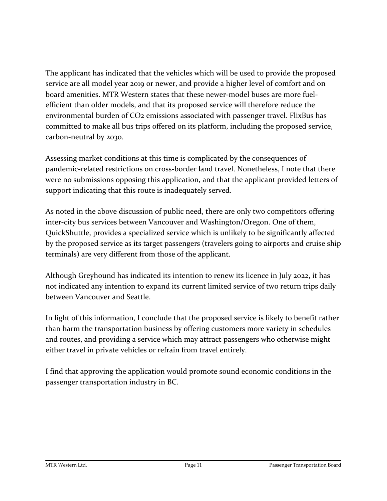The applicant has indicated that the vehicles which will be used to provide the proposed service are all model year 2019 or newer, and provide a higher level of comfort and on board amenities. MTR Western states that these newer-model buses are more fuelefficient than older models, and that its proposed service will therefore reduce the environmental burden of CO2 emissions associated with passenger travel. FlixBus has committed to make all bus trips offered on its platform, including the proposed service, carbon-neutral by 2030.

Assessing market conditions at this time is complicated by the consequences of pandemic-related restrictions on cross-border land travel. Nonetheless, I note that there were no submissions opposing this application, and that the applicant provided letters of support indicating that this route is inadequately served.

As noted in the above discussion of public need, there are only two competitors offering inter-city bus services between Vancouver and Washington/Oregon. One of them, QuickShuttle, provides a specialized service which is unlikely to be significantly affected by the proposed service as its target passengers (travelers going to airports and cruise ship terminals) are very different from those of the applicant.

Although Greyhound has indicated its intention to renew its licence in July 2022, it has not indicated any intention to expand its current limited service of two return trips daily between Vancouver and Seattle.

In light of this information, I conclude that the proposed service is likely to benefit rather than harm the transportation business by offering customers more variety in schedules and routes, and providing a service which may attract passengers who otherwise might either travel in private vehicles or refrain from travel entirely.

I find that approving the application would promote sound economic conditions in the passenger transportation industry in BC.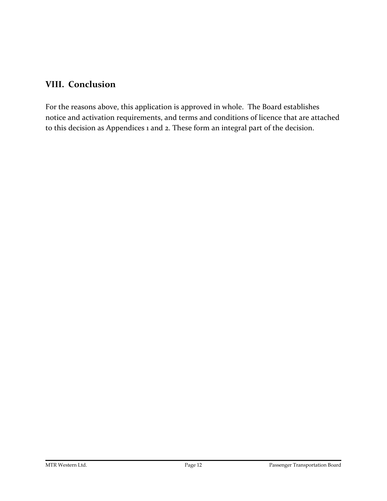## **VIII. Conclusion**

For the reasons above, this application is approved in whole. The Board establishes notice and activation requirements, and terms and conditions of licence that are attached to this decision as Appendices 1 and 2. These form an integral part of the decision.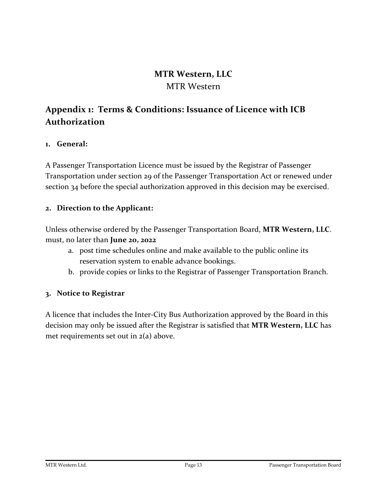### **MTR Western, LLC** MTR Western

## **Appendix 1: Terms & Conditions: Issuance of Licence with ICB Authorization**

#### **1. General:**

A Passenger Transportation Licence must be issued by the Registrar of Passenger Transportation under section 29 of the Passenger Transportation Act or renewed under section 34 before the special authorization approved in this decision may be exercised.

#### **2. Direction to the Applicant:**

Unless otherwise ordered by the Passenger Transportation Board, **MTR Western, LLC**. must, no later than **June 20, 2022**

- a. post time schedules online and make available to the public online its reservation system to enable advance bookings.
- b. provide copies or links to the Registrar of Passenger Transportation Branch.

#### **3. Notice to Registrar**

A licence that includes the Inter-City Bus Authorization approved by the Board in this decision may only be issued after the Registrar is satisfied that **MTR Western, LLC** has met requirements set out in 2(a) above.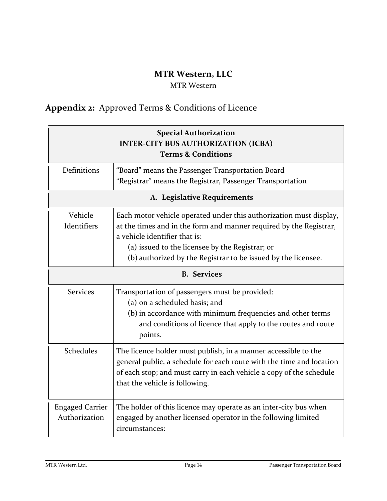## **MTR Western, LLC**

#### MTR Western

# **Appendix 2:** Approved Terms & Conditions of Licence

| <b>Special Authorization</b><br><b>INTER-CITY BUS AUTHORIZATION (ICBA)</b><br><b>Terms &amp; Conditions</b> |                                                                                                                                                                                                                                                                                               |  |
|-------------------------------------------------------------------------------------------------------------|-----------------------------------------------------------------------------------------------------------------------------------------------------------------------------------------------------------------------------------------------------------------------------------------------|--|
| Definitions                                                                                                 | "Board" means the Passenger Transportation Board<br>"Registrar" means the Registrar, Passenger Transportation                                                                                                                                                                                 |  |
| A. Legislative Requirements                                                                                 |                                                                                                                                                                                                                                                                                               |  |
| Vehicle<br>Identifiers                                                                                      | Each motor vehicle operated under this authorization must display,<br>at the times and in the form and manner required by the Registrar,<br>a vehicle identifier that is:<br>(a) issued to the licensee by the Registrar; or<br>(b) authorized by the Registrar to be issued by the licensee. |  |
| <b>B.</b> Services                                                                                          |                                                                                                                                                                                                                                                                                               |  |
| <b>Services</b>                                                                                             | Transportation of passengers must be provided:<br>(a) on a scheduled basis; and<br>(b) in accordance with minimum frequencies and other terms<br>and conditions of licence that apply to the routes and route<br>points.                                                                      |  |
| Schedules                                                                                                   | The licence holder must publish, in a manner accessible to the<br>general public, a schedule for each route with the time and location<br>of each stop; and must carry in each vehicle a copy of the schedule<br>that the vehicle is following.                                               |  |
| <b>Engaged Carrier</b><br>Authorization                                                                     | The holder of this licence may operate as an inter-city bus when<br>engaged by another licensed operator in the following limited<br>circumstances:                                                                                                                                           |  |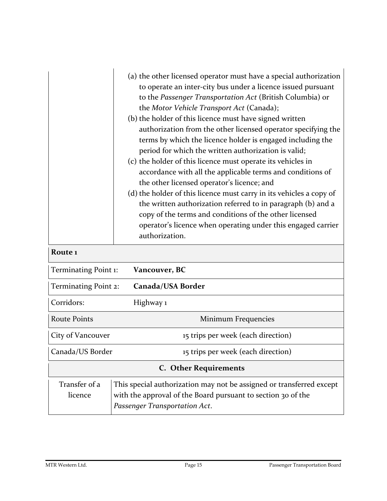|                                           | (a) the other licensed operator must have a special authorization<br>to operate an inter-city bus under a licence issued pursuant<br>to the Passenger Transportation Act (British Columbia) or<br>the Motor Vehicle Transport Act (Canada);<br>(b) the holder of this licence must have signed written<br>authorization from the other licensed operator specifying the<br>terms by which the licence holder is engaged including the<br>period for which the written authorization is valid;<br>(c) the holder of this licence must operate its vehicles in<br>accordance with all the applicable terms and conditions of<br>the other licensed operator's licence; and<br>(d) the holder of this licence must carry in its vehicles a copy of<br>the written authorization referred to in paragraph (b) and a<br>copy of the terms and conditions of the other licensed<br>operator's licence when operating under this engaged carrier<br>authorization. |  |
|-------------------------------------------|-------------------------------------------------------------------------------------------------------------------------------------------------------------------------------------------------------------------------------------------------------------------------------------------------------------------------------------------------------------------------------------------------------------------------------------------------------------------------------------------------------------------------------------------------------------------------------------------------------------------------------------------------------------------------------------------------------------------------------------------------------------------------------------------------------------------------------------------------------------------------------------------------------------------------------------------------------------|--|
| Route <sub>1</sub>                        |                                                                                                                                                                                                                                                                                                                                                                                                                                                                                                                                                                                                                                                                                                                                                                                                                                                                                                                                                             |  |
| Vancouver, BC<br>Terminating Point 1:     |                                                                                                                                                                                                                                                                                                                                                                                                                                                                                                                                                                                                                                                                                                                                                                                                                                                                                                                                                             |  |
| Terminating Point 2:<br>Canada/USA Border |                                                                                                                                                                                                                                                                                                                                                                                                                                                                                                                                                                                                                                                                                                                                                                                                                                                                                                                                                             |  |
| Corridors:                                | Highway 1                                                                                                                                                                                                                                                                                                                                                                                                                                                                                                                                                                                                                                                                                                                                                                                                                                                                                                                                                   |  |
| <b>Route Points</b>                       | Minimum Frequencies                                                                                                                                                                                                                                                                                                                                                                                                                                                                                                                                                                                                                                                                                                                                                                                                                                                                                                                                         |  |
| City of Vancouver                         | 15 trips per week (each direction)                                                                                                                                                                                                                                                                                                                                                                                                                                                                                                                                                                                                                                                                                                                                                                                                                                                                                                                          |  |
| Canada/US Border                          | 15 trips per week (each direction)                                                                                                                                                                                                                                                                                                                                                                                                                                                                                                                                                                                                                                                                                                                                                                                                                                                                                                                          |  |
| <b>C.</b> Other Requirements              |                                                                                                                                                                                                                                                                                                                                                                                                                                                                                                                                                                                                                                                                                                                                                                                                                                                                                                                                                             |  |
| Transfer of a<br>licence                  | This special authorization may not be assigned or transferred except<br>with the approval of the Board pursuant to section 30 of the<br>Passenger Transportation Act.                                                                                                                                                                                                                                                                                                                                                                                                                                                                                                                                                                                                                                                                                                                                                                                       |  |